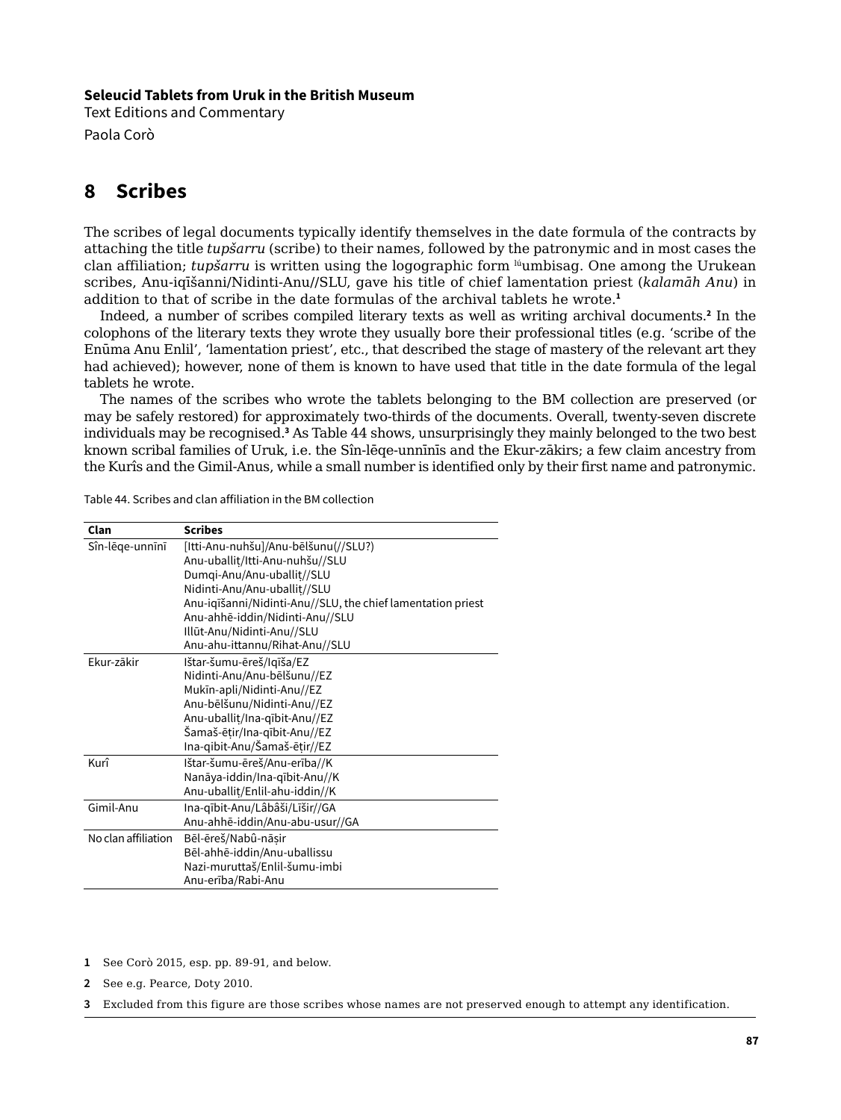#### **Seleucid Tablets from Uruk in the British Museum**

Text Editions and Commentary Paola Corò

# **8 Scribes**

The scribes of legal documents typically identify themselves in the date formula of the contracts by attaching the title *tupšarru* (scribe) to their names, followed by the patronymic and in most cases the clan affiliation; *tupšarru* is written using the logographic form lúumbisag. One among the Urukean scribes, Anu-iqīšanni/Nidinti-Anu//SLU, gave his title of chief lamentation priest (*kalamāh Anu*) in addition to that of scribe in the date formulas of the archival tablets he wrote.**<sup>1</sup>**

Indeed, a number of scribes compiled literary texts as well as writing archival documents.**<sup>2</sup>** In the colophons of the literary texts they wrote they usually bore their professional titles (e.g. 'scribe of the Enūma Anu Enlil', 'lamentation priest', etc., that described the stage of mastery of the relevant art they had achieved); however, none of them is known to have used that title in the date formula of the legal tablets he wrote.

The names of the scribes who wrote the tablets belonging to the BM collection are preserved (or may be safely restored) for approximately two-thirds of the documents. Overall, twenty-seven discrete individuals may be recognised.**<sup>3</sup>** As Table 44 shows, unsurprisingly they mainly belonged to the two best known scribal families of Uruk, i.e. the Sîn-lēqe-unnīnīs and the Ekur-zākirs; a few claim ancestry from the Kurîs and the Gimil-Anus, while a small number is identified only by their first name and patronymic.

| Clan                | <b>Scribes</b>                                              |
|---------------------|-------------------------------------------------------------|
| Sîn-lēge-unnīnī     | [Itti-Anu-nuhšu]/Anu-bēlšunu(//SLU?)                        |
|                     | Anu-uballit/Itti-Anu-nuhšu//SLU                             |
|                     | Dumqi-Anu/Anu-uballit//SLU                                  |
|                     | Nidinti-Anu/Anu-uballit//SLU                                |
|                     | Anu-iqīšanni/Nidinti-Anu//SLU, the chief lamentation priest |
|                     | Anu-ahhē-iddin/Nidinti-Anu//SLU                             |
|                     | Illūt-Anu/Nidinti-Anu//SLU                                  |
|                     | Anu-ahu-ittannu/Rihat-Anu//SLU                              |
| Fkur-zākir          | Ištar-šumu-ēreš/Iqīša/EZ                                    |
|                     | Nidinti-Anu/Anu-bēlšunu//EZ                                 |
|                     | Mukīn-apli/Nidinti-Anu//EZ                                  |
|                     | Anu-bēlšunu/Nidinti-Anu//EZ                                 |
|                     | Anu-uballit/Ina-qībit-Anu//EZ                               |
|                     | Šamaš-ētir/Ina-qībit-Anu//EZ                                |
|                     | Ina-qibit-Anu/Šamaš-ētir//EZ                                |
| Kurî                | Ištar-šumu-ēreš/Anu-erība//K                                |
|                     | Nanāya-iddin/Ina-qībit-Anu//K                               |
|                     | Anu-uballit/Enlil-ahu-iddin//K                              |
| Gimil-Anu           | Ina-qībit-Anu/Lâbâši/Līšir//GA                              |
|                     | Anu-ahhē-iddin/Anu-abu-usur//GA                             |
| No clan affiliation | Bēl-ēreš/Nabû-nāsir                                         |
|                     | Bēl-ahhē-iddin/Anu-uballissu                                |
|                     | Nazi-muruttaš/Enlil-šumu-imbi                               |
|                     | Anu-erība/Rabi-Anu                                          |

Table 44. Scribes and clan affiliation in the BM collection

**1** See Corò 2015, esp. pp. 89-91, and below.

**2** See e.g. Pearce, Doty 2010.

**3** Excluded from this figure are those scribes whose names are not preserved enough to attempt any identification.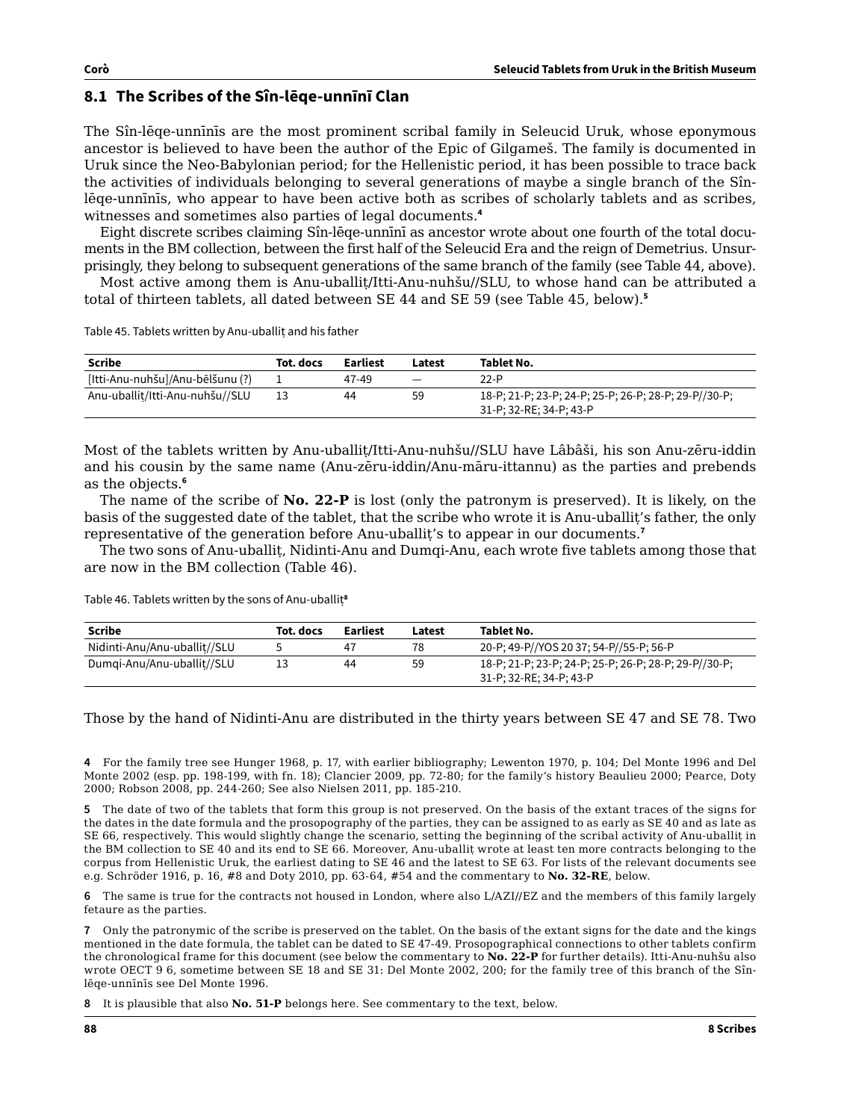# **8.1 The Scribes of the Sîn-lēqe-unnīnī Clan**

The Sîn-lēqe-unnīnīs are the most prominent scribal family in Seleucid Uruk, whose eponymous ancestor is believed to have been the author of the Epic of Gilgameš. The family is documented in Uruk since the Neo-Babylonian period; for the Hellenistic period, it has been possible to trace back the activities of individuals belonging to several generations of maybe a single branch of the Sînlēqe-unnīnīs, who appear to have been active both as scribes of scholarly tablets and as scribes, witnesses and sometimes also parties of legal documents.**<sup>4</sup>**

Eight discrete scribes claiming Sîn-lēqe-unnīnī as ancestor wrote about one fourth of the total documents in the BM collection, between the first half of the Seleucid Era and the reign of Demetrius. Unsurprisingly, they belong to subsequent generations of the same branch of the family (see Table 44, above).

Most active among them is Anu-uballiṭ/Itti-Anu-nuhšu//SLU, to whose hand can be attributed a total of thirteen tablets, all dated between SE 44 and SE 59 (see Table 45, below).**<sup>5</sup>**

Table 45. Tablets written by Anu-uballit and his father

| Scribe                           | Tot. docs | Earliest | Latest                   | Tablet No.                                                                       |
|----------------------------------|-----------|----------|--------------------------|----------------------------------------------------------------------------------|
| [Itti-Anu-nuhšu]/Anu-bēlšunu (?) |           | 47-49    | $\overline{\phantom{0}}$ | $22-P$                                                                           |
| Anu-uballit/Itti-Anu-nuhšu//SLU  |           | 44       | 59                       | 18-P; 21-P; 23-P; 24-P; 25-P; 26-P; 28-P; 29-P//30-P;<br>31-P; 32-RE; 34-P; 43-P |

Most of the tablets written by Anu-uballiṭ/Itti-Anu-nuhšu//SLU have Lâbâši, his son Anu-zēru-iddin and his cousin by the same name (Anu-zēru-iddin/Anu-māru-ittannu) as the parties and prebends as the objects.**<sup>6</sup>**

The name of the scribe of **No. 22-P** is lost (only the patronym is preserved). It is likely, on the basis of the suggested date of the tablet, that the scribe who wrote it is Anu-uballiṭ's father, the only representative of the generation before Anu-uballit's to appear in our documents.<sup>7</sup>

The two sons of Anu-uballiṭ, Nidinti-Anu and Dumqi-Anu, each wrote five tablets among those that are now in the BM collection (Table 46).

| <b>Scribe</b>                | Tot. docs | Earliest | Latest | Tablet No.                                                                       |
|------------------------------|-----------|----------|--------|----------------------------------------------------------------------------------|
| Nidinti-Anu/Anu-uballit//SLU |           | 47       | 78     | 20-P; 49-P//YOS 20 37; 54-P//55-P; 56-P                                          |
| Dumgi-Anu/Anu-uballit//SLU   |           | 44       | 59     | 18-P; 21-P; 23-P; 24-P; 25-P; 26-P; 28-P; 29-P//30-P;<br>31-P; 32-RE; 34-P; 43-P |

Table 46. Tablets written by the sons of Anu-uballiṭ**<sup>8</sup>**

Those by the hand of Nidinti-Anu are distributed in the thirty years between SE 47 and SE 78. Two

**4** For the family tree see Hunger 1968, p. 17, with earlier bibliography; Lewenton 1970, p. 104; Del Monte 1996 and Del Monte 2002 (esp. pp. 198-199, with fn. 18); Clancier 2009, pp. 72-80; for the family's history Beaulieu 2000; Pearce, Doty 2000; Robson 2008, pp. 244-260; See also Nielsen 2011, pp. 185-210.

**5** The date of two of the tablets that form this group is not preserved. On the basis of the extant traces of the signs for the dates in the date formula and the prosopography of the parties, they can be assigned to as early as SE 40 and as late as SE 66, respectively. This would slightly change the scenario, setting the beginning of the scribal activity of Anu-uballiṭ in the BM collection to SE 40 and its end to SE 66. Moreover, Anu-uballiṭ wrote at least ten more contracts belonging to the corpus from Hellenistic Uruk, the earliest dating to SE 46 and the latest to SE 63. For lists of the relevant documents see e.g. Schröder 1916, p. 16, #8 and Doty 2010, pp. 63-64, #54 and the commentary to **No. 32-RE**, below.

**6** The same is true for the contracts not housed in London, where also L/AZI//EZ and the members of this family largely fetaure as the parties.

**7** Only the patronymic of the scribe is preserved on the tablet. On the basis of the extant signs for the date and the kings mentioned in the date formula, the tablet can be dated to SE 47-49. Prosopographical connections to other tablets confirm the chronological frame for this document (see below the commentary to **No. 22-P** for further details). Itti-Anu-nuhšu also wrote OECT 9 6, sometime between SE 18 and SE 31: Del Monte 2002, 200; for the family tree of this branch of the Sînlēqe-unnīnīs see Del Monte 1996.

**8** It is plausible that also **No. 51-P** belongs here. See commentary to the text, below.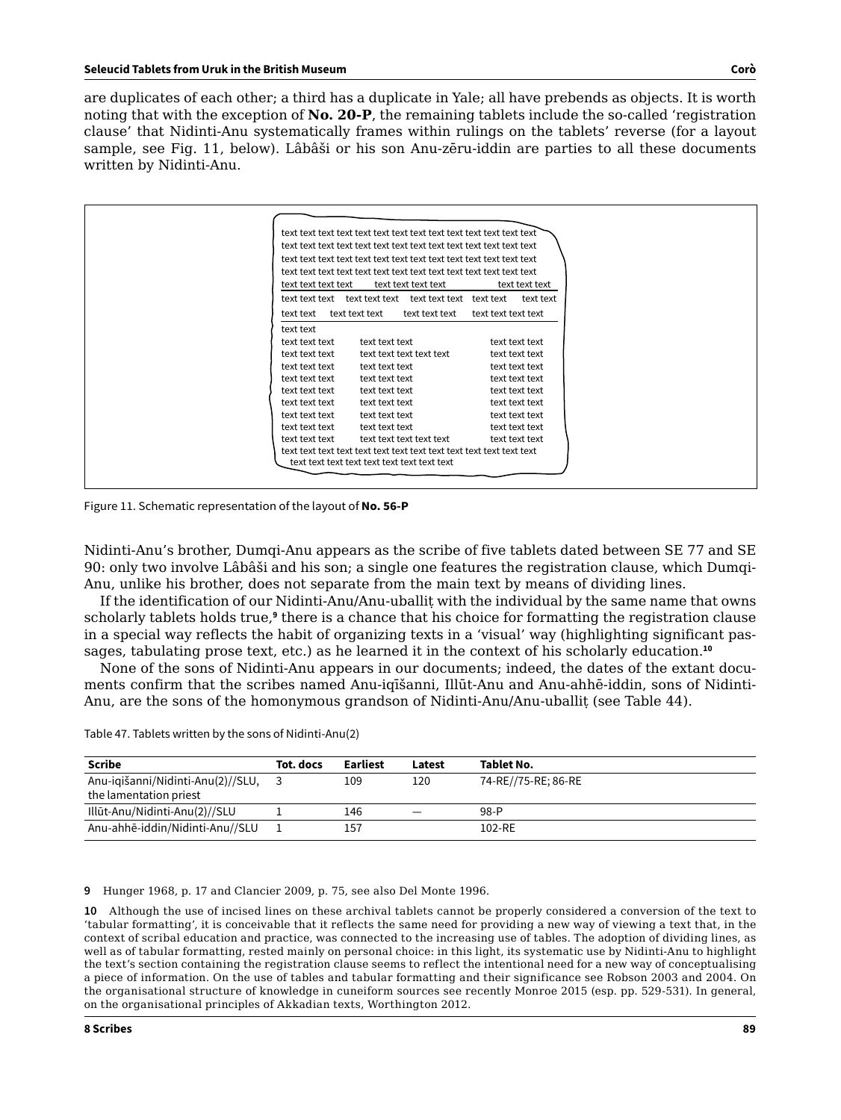are duplicates of each other; a third has a duplicate in Yale; all have prebends as objects. It is worth noting that with the exception of **No. 20-P**, the remaining tablets include the so-called 'registration clause' that Nidinti-Anu systematically frames within rulings on the tablets' reverse (for a layout sample, see Fig. 11, below). Lâbâši or his son Anu-zēru-iddin are parties to all these documents written by Nidinti-Anu.

| text text text text |                | text text text text      |                     | text text text |  |
|---------------------|----------------|--------------------------|---------------------|----------------|--|
|                     |                |                          |                     | text text      |  |
| text text           | text text text | text text text           | text text text text |                |  |
| text text           |                |                          |                     |                |  |
| text text text      | text text text |                          |                     | text text text |  |
| text text text      |                | text text text text text |                     | text text text |  |
| text text text      | text text text |                          |                     | text text text |  |
| text text text      | text text text |                          |                     | text text text |  |
| text text text      | text text text |                          |                     | text text text |  |
| text text text      | text text text |                          |                     | text text text |  |
| text text text      | text text text |                          |                     | text text text |  |
| text text text      | text text text |                          |                     | text text text |  |
| text text text      |                | text text text text text |                     | text text text |  |
|                     |                |                          |                     |                |  |

Figure 11. Schematic representation of the layout of **No. 56-P**

Nidinti-Anu's brother, Dumqi-Anu appears as the scribe of five tablets dated between SE 77 and SE 90: only two involve Lâbâši and his son; a single one features the registration clause, which Dumqi-Anu, unlike his brother, does not separate from the main text by means of dividing lines.

If the identification of our Nidinti-Anu/Anu-uballiṭ with the individual by the same name that owns scholarly tablets holds true,<sup>9</sup> there is a chance that his choice for formatting the registration clause in a special way reflects the habit of organizing texts in a 'visual' way (highlighting significant passages, tabulating prose text, etc.) as he learned it in the context of his scholarly education.**<sup>10</sup>**

None of the sons of Nidinti-Anu appears in our documents; indeed, the dates of the extant documents confirm that the scribes named Anu-iqīšanni, Illūt-Anu and Anu-ahhē-iddin, sons of Nidinti-Anu, are the sons of the homonymous grandson of Nidinti-Anu/Anu-uballiṭ (see Table 44).

Table 47. Tablets written by the sons of Nidinti-Anu(2)

| <b>Scribe</b>                                               | Tot. docs | Earliest | Latest | <b>Tablet No.</b>   |
|-------------------------------------------------------------|-----------|----------|--------|---------------------|
| Anu-igišanni/Nidinti-Anu(2)//SLU,<br>the lamentation priest |           | 109      | 120    | 74-RE//75-RE; 86-RE |
| Illūt-Anu/Nidinti-Anu(2)//SLU                               |           | 146      | _      | 98-P                |
| Anu-ahhē-iddin/Nidinti-Anu//SLU                             |           | 157      |        | 102-RE              |

**9** Hunger 1968, p. 17 and Clancier 2009, p. 75, see also Del Monte 1996.

**10** Although the use of incised lines on these archival tablets cannot be properly considered a conversion of the text to 'tabular formatting', it is conceivable that it reflects the same need for providing a new way of viewing a text that, in the context of scribal education and practice, was connected to the increasing use of tables. The adoption of dividing lines, as well as of tabular formatting, rested mainly on personal choice: in this light, its systematic use by Nidinti-Anu to highlight the text's section containing the registration clause seems to reflect the intentional need for a new way of conceptualising a piece of information. On the use of tables and tabular formatting and their significance see Robson 2003 and 2004. On the organisational structure of knowledge in cuneiform sources see recently Monroe 2015 (esp. pp. 529-531). In general, on the organisational principles of Akkadian texts, Worthington 2012.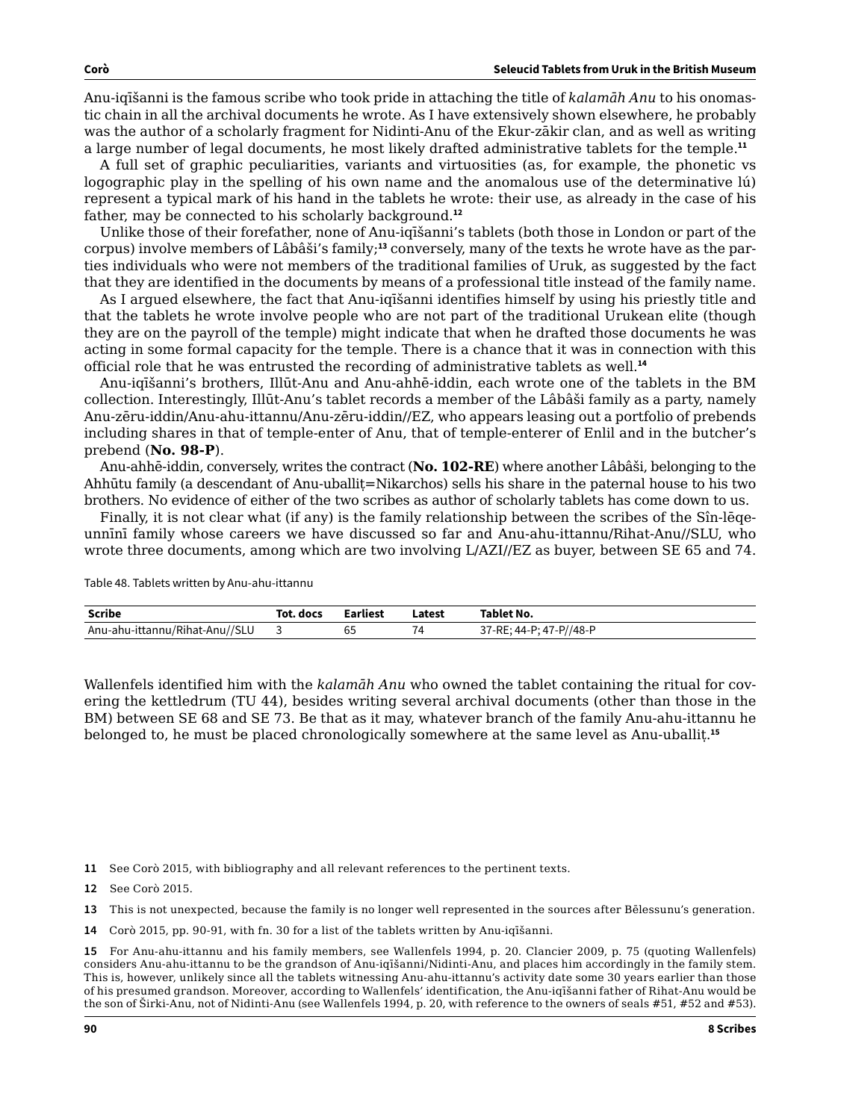Anu-iqīšanni is the famous scribe who took pride in attaching the title of *kalamāh Anu* to his onomastic chain in all the archival documents he wrote. As I have extensively shown elsewhere, he probably was the author of a scholarly fragment for Nidinti-Anu of the Ekur-zākir clan, and as well as writing a large number of legal documents, he most likely drafted administrative tablets for the temple.**<sup>11</sup>**

A full set of graphic peculiarities, variants and virtuosities (as, for example, the phonetic vs logographic play in the spelling of his own name and the anomalous use of the determinative lú) represent a typical mark of his hand in the tablets he wrote: their use, as already in the case of his father, may be connected to his scholarly background.**<sup>12</sup>**

Unlike those of their forefather, none of Anu-iqīšanni's tablets (both those in London or part of the corpus) involve members of Lâbâši's family;**13** conversely, many of the texts he wrote have as the parties individuals who were not members of the traditional families of Uruk, as suggested by the fact that they are identified in the documents by means of a professional title instead of the family name.

As I argued elsewhere, the fact that Anu-iqīšanni identifies himself by using his priestly title and that the tablets he wrote involve people who are not part of the traditional Urukean elite (though they are on the payroll of the temple) might indicate that when he drafted those documents he was acting in some formal capacity for the temple. There is a chance that it was in connection with this official role that he was entrusted the recording of administrative tablets as well.**<sup>14</sup>**

Anu-iqīšanni's brothers, Illūt-Anu and Anu-ahhē-iddin, each wrote one of the tablets in the BM collection. Interestingly, Illūt-Anu's tablet records a member of the Lâbâši family as a party, namely Anu-zēru-iddin/Anu-ahu-ittannu/Anu-zēru-iddin//EZ, who appears leasing out a portfolio of prebends including shares in that of temple-enter of Anu, that of temple-enterer of Enlil and in the butcher's prebend (**No. 98-P**).

Anu-ahhē-iddin, conversely, writes the contract (**No. 102-RE**) where another Lâbâši, belonging to the Ahhūtu family (a descendant of Anu-uballit=Nikarchos) sells his share in the paternal house to his two brothers. No evidence of either of the two scribes as author of scholarly tablets has come down to us.

Finally, it is not clear what (if any) is the family relationship between the scribes of the Sîn-lēqeunnīnī family whose careers we have discussed so far and Anu-ahu-ittannu/Rihat-Anu//SLU, who wrote three documents, among which are two involving L/AZI//EZ as buyer, between SE 65 and 74.

Table 48. Tablets written by Anu-ahu-ittannu

| <b>Scribe</b>                  | Tot. docs | Earliest | Latest | Tablet No.                          |
|--------------------------------|-----------|----------|--------|-------------------------------------|
| Anu-ahu-ittannu/Rihat-Anu//SLU |           | 65       | 74     | : 44-P: 47-P//48-P<br>$37-RF:$<br>ັ |

Wallenfels identified him with the *kalamāh Anu* who owned the tablet containing the ritual for covering the kettledrum (TU 44), besides writing several archival documents (other than those in the BM) between SE 68 and SE 73. Be that as it may, whatever branch of the family Anu-ahu-ittannu he belonged to, he must be placed chronologically somewhere at the same level as Anu-uballiṭ.**<sup>15</sup>**

- **11** See Corò 2015, with bibliography and all relevant references to the pertinent texts.
- **12** See Corò 2015.
- **13** This is not unexpected, because the family is no longer well represented in the sources after Bēlessunu's generation.
- **14** Corò 2015, pp. 90-91, with fn. 30 for a list of the tablets written by Anu-iqīšanni.

**15** For Anu-ahu-ittannu and his family members, see Wallenfels 1994, p. 20. Clancier 2009, p. 75 (quoting Wallenfels) considers Anu-ahu-ittannu to be the grandson of Anu-iqīšanni/Nidinti-Anu, and places him accordingly in the family stem. This is, however, unlikely since all the tablets witnessing Anu-ahu-ittannu's activity date some 30 years earlier than those of his presumed grandson. Moreover, according to Wallenfels' identification, the Anu-iqīšanni father of Rihat-Anu would be the son of Širki-Anu, not of Nidinti-Anu (see Wallenfels 1994, p. 20, with reference to the owners of seals #51, #52 and #53).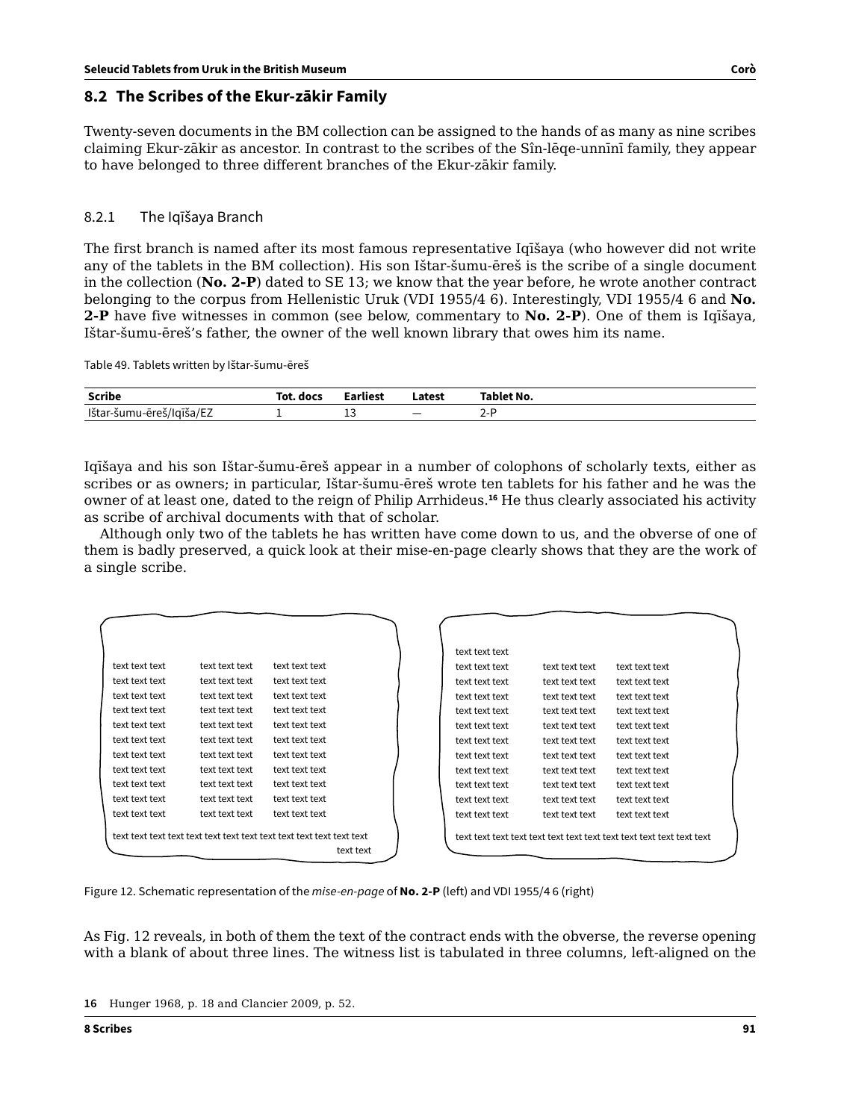# **8.2 The Scribes of the Ekur-zākir Family**

Twenty-seven documents in the BM collection can be assigned to the hands of as many as nine scribes claiming Ekur-zākir as ancestor. In contrast to the scribes of the Sîn-lēqe-unnīnī family, they appear to have belonged to three different branches of the Ekur-zākir family.

### 8.2.1 The Iqīšaya Branch

The first branch is named after its most famous representative Iqīšaya (who however did not write any of the tablets in the BM collection). His son Ištar-šumu-ēreš is the scribe of a single document in the collection (**No. 2-P**) dated to SE 13; we know that the year before, he wrote another contract belonging to the corpus from Hellenistic Uruk (VDI 1955/4 6). Interestingly, VDI 1955/4 6 and **No. 2-P** have five witnesses in common (see below, commentary to **No. 2-P**). One of them is Iqīšaya, Ištar-šumu-ēreš's father, the owner of the well known library that owes him its name.

Table 49. Tablets written by Ištar-šumu-ēreš

| Scribe                   | Tot. docs | Earliest | Latest                   | Tablet No.    |
|--------------------------|-----------|----------|--------------------------|---------------|
| Ištar-šumu-ēreš/Iqīša/EZ |           | نەك      | $\overline{\phantom{a}}$ | $\sim$<br>z-1 |

Iqīšaya and his son Ištar-šumu-ēreš appear in a number of colophons of scholarly texts, either as scribes or as owners; in particular, Ištar-šumu-ēreš wrote ten tablets for his father and he was the owner of at least one, dated to the reign of Philip Arrhideus.**<sup>16</sup>** He thus clearly associated his activity as scribe of archival documents with that of scholar.

Although only two of the tablets he has written have come down to us, and the obverse of one of them is badly preserved, a quick look at their mise-en-page clearly shows that they are the work of a single scribe.

|                |                |                | text text text |                |                |  |
|----------------|----------------|----------------|----------------|----------------|----------------|--|
| text text text | text text text | text text text | text text text | text text text | text text text |  |
| text text text | text text text | text text text | text text text | text text text | text text text |  |
| text text text | text text text | text text text | text text text | text text text | text text text |  |
| text text text | text text text | text text text | text text text | text text text | text text text |  |
| text text text | text text text | text text text | text text text | text text text | text text text |  |
| text text text | text text text | text text text | text text text | text text text | text text text |  |
| text text text | text text text | text text text | text text text | text text text | text text text |  |
| text text text | text text text | text text text | text text text | text text text | text text text |  |
| text text text | text text text | text text text | text text text | text text text | text text text |  |
| text text text | text text text | text text text | text text text | text text text | text text text |  |
| text text text | text text text | text text text | text text text | text text text | text text text |  |
|                |                |                |                |                |                |  |
|                |                |                |                |                |                |  |
|                |                | text text      |                |                |                |  |

Figure 12. Schematic representation of the *mise-en-page* of **No. 2-P** (left) and VDI 1955/4 6 (right)

As Fig. 12 reveals, in both of them the text of the contract ends with the obverse, the reverse opening with a blank of about three lines. The witness list is tabulated in three columns, left-aligned on the

**<sup>16</sup>** Hunger 1968, p. 18 and Clancier 2009, p. 52.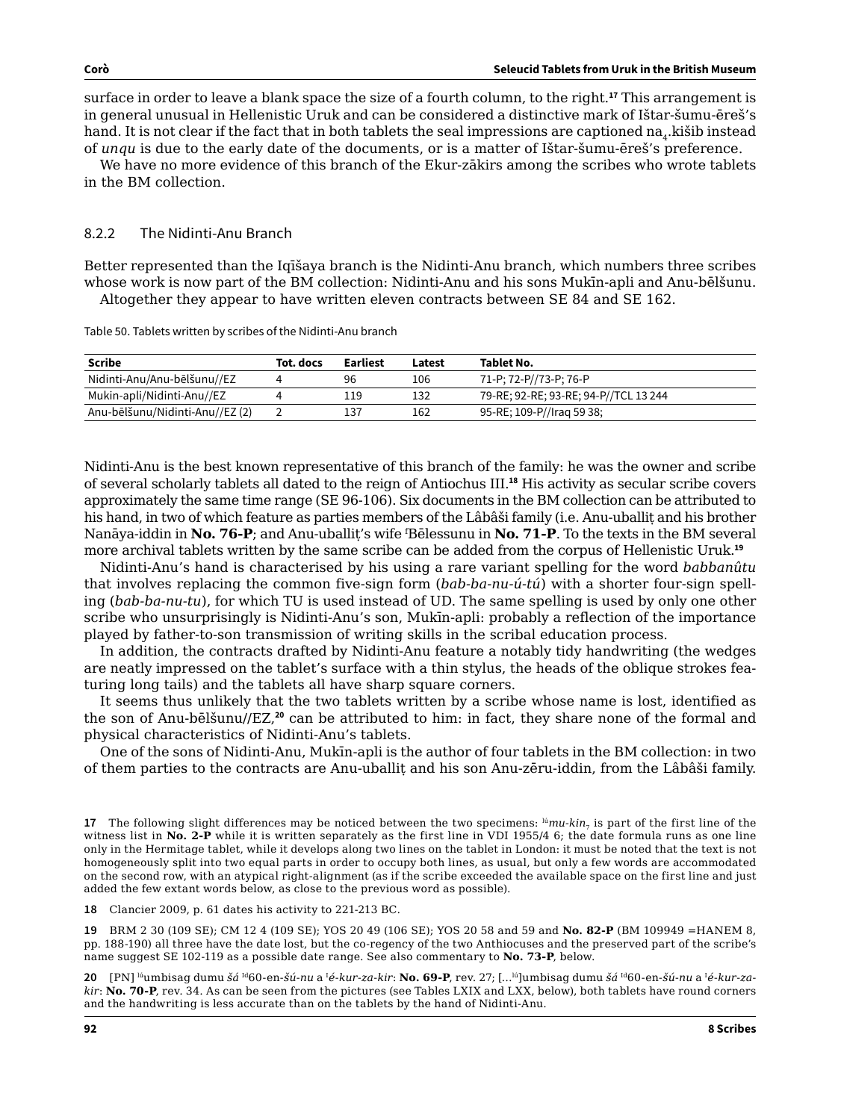surface in order to leave a blank space the size of a fourth column, to the right.**<sup>17</sup>** This arrangement is in general unusual in Hellenistic Uruk and can be considered a distinctive mark of Ištar-šumu-ēreš's hand. It is not clear if the fact that in both tablets the seal impressions are captioned na, kišib instead of *unqu* is due to the early date of the documents, or is a matter of Ištar-šumu-ēreš's preference.

We have no more evidence of this branch of the Ekur-zākirs among the scribes who wrote tablets in the BM collection.

#### 8.2.2 The Nidinti-Anu Branch

Better represented than the Iqīšaya branch is the Nidinti-Anu branch, which numbers three scribes whose work is now part of the BM collection: Nidinti-Anu and his sons Mukīn-apli and Anu-bēlšunu. Altogether they appear to have written eleven contracts between SE 84 and SE 162.

Table 50. Tablets written by scribes of the Nidinti-Anu branch

| Scribe                          | Tot. docs | Earliest | Latest | Tablet No.                            |
|---------------------------------|-----------|----------|--------|---------------------------------------|
| Nidinti-Anu/Anu-bēlšunu//EZ     |           | 96       | 106    | 71-P; 72-P//73-P; 76-P                |
| Mukin-apli/Nidinti-Anu//EZ      |           | 119      | 132    | 79-RE; 92-RE; 93-RE; 94-P//TCL 13 244 |
| Anu-bēlšunu/Nidinti-Anu//EZ (2) |           | 137      | 162    | 95-RE; 109-P//Irag 59 38;             |
|                                 |           |          |        |                                       |

Nidinti-Anu is the best known representative of this branch of the family: he was the owner and scribe of several scholarly tablets all dated to the reign of Antiochus III.**<sup>18</sup>** His activity as secular scribe covers approximately the same time range (SE 96-106). Six documents in the BM collection can be attributed to his hand, in two of which feature as parties members of the Lâbâši family (i.e. Anu-uballit and his brother Nanāya-iddin in **No. 76-P**; and Anu-uballiṭ's wife <sup>f</sup> Bēlessunu in **No. 71-P**. To the texts in the BM several more archival tablets written by the same scribe can be added from the corpus of Hellenistic Uruk.**<sup>19</sup>**

Nidinti-Anu's hand is characterised by his using a rare variant spelling for the word *babbanûtu* that involves replacing the common five-sign form (*bab-ba-nu-ú-tú*) with a shorter four-sign spelling (*bab-ba-nu-tu*), for which TU is used instead of UD. The same spelling is used by only one other scribe who unsurprisingly is Nidinti-Anu's son, Mukīn-apli: probably a reflection of the importance played by father-to-son transmission of writing skills in the scribal education process.

In addition, the contracts drafted by Nidinti-Anu feature a notably tidy handwriting (the wedges are neatly impressed on the tablet's surface with a thin stylus, the heads of the oblique strokes featuring long tails) and the tablets all have sharp square corners.

It seems thus unlikely that the two tablets written by a scribe whose name is lost, identified as the son of Anu-bēlšunu//EZ,**<sup>20</sup>** can be attributed to him: in fact, they share none of the formal and physical characteristics of Nidinti-Anu's tablets.

One of the sons of Nidinti-Anu, Mukīn-apli is the author of four tablets in the BM collection: in two of them parties to the contracts are Anu-uballiṭ and his son Anu-zēru-iddin, from the Lâbâši family.

**17** The following slight differences may be noticed between the two specimens: <sup>lú</sup>*mu-kin<sub>7</sub>* is part of the first line of the witness list in **No. 2-P** while it is written separately as the first line in VDI 1955/4 6; the date formula runs as one line only in the Hermitage tablet, while it develops along two lines on the tablet in London: it must be noted that the text is not homogeneously split into two equal parts in order to occupy both lines, as usual, but only a few words are accommodated on the second row, with an atypical right-alignment (as if the scribe exceeded the available space on the first line and just added the few extant words below, as close to the previous word as possible).

**18** Clancier 2009, p. 61 dates his activity to 221-213 BC.

**19** BRM 2 30 (109 SE); CM 12 4 (109 SE); YOS 20 49 (106 SE); YOS 20 58 and 59 and **No. 82-P** (BM 109949 =HANEM 8, pp. 188-190) all three have the date lost, but the co-regency of the two Anthiocuses and the preserved part of the scribe's name suggest SE 102-119 as a possible date range. See also commentary to **No. 73-P**, below.

**20** [PN] ʰʲumbisag dumu šá ʰ<sup>a</sup>60-en-šú-nu a ʰé-kur-za-kir: **No. 69-P**, rev. 27; […ʰʲ]umbisag dumu šá ʰª60-en-šú-nu a ʰé-kur-za*kir*: **No. 70-P**, rev. 34. As can be seen from the pictures (see Tables LXIX and LXX, below), both tablets have round corners and the handwriting is less accurate than on the tablets by the hand of Nidinti-Anu.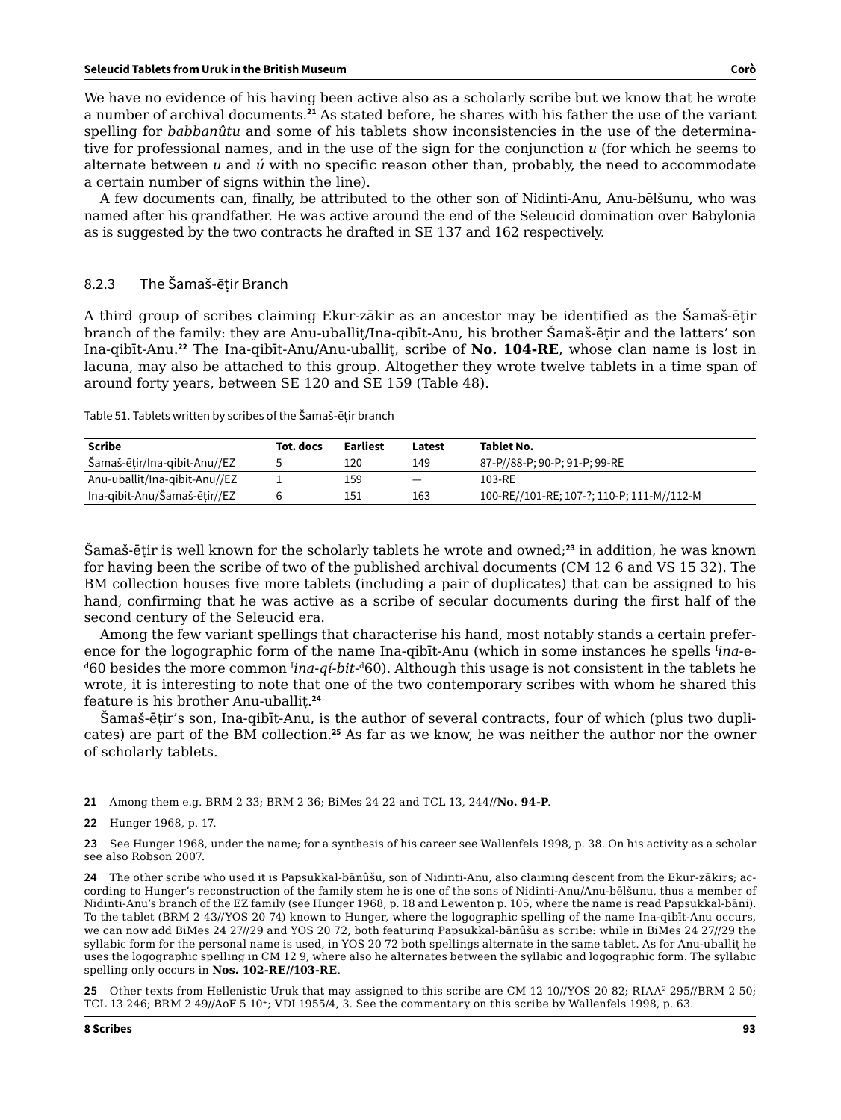We have no evidence of his having been active also as a scholarly scribe but we know that he wrote a number of archival documents.**<sup>21</sup>** As stated before, he shares with his father the use of the variant spelling for *babbanûtu* and some of his tablets show inconsistencies in the use of the determinative for professional names, and in the use of the sign for the conjunction *u* (for which he seems to alternate between *u* and *ú* with no specific reason other than, probably, the need to accommodate a certain number of signs within the line).

A few documents can, finally, be attributed to the other son of Nidinti-Anu, Anu-bēlšunu, who was named after his grandfather. He was active around the end of the Seleucid domination over Babylonia as is suggested by the two contracts he drafted in SE 137 and 162 respectively.

### 8.2.3 The Šamaš-ēṭir Branch

A third group of scribes claiming Ekur-zākir as an ancestor may be identified as the Šamaš-ētir branch of the family: they are Anu-uballiṭ/Ina-qibīt-Anu, his brother Šamaš-ēṭir and the latters' son Ina-qibīt-Anu.**<sup>22</sup>** The Ina-qibīt-Anu/Anu-uballiṭ, scribe of **No. 104-RE**, whose clan name is lost in lacuna, may also be attached to this group. Altogether they wrote twelve tablets in a time span of around forty years, between SE 120 and SE 159 (Table 48).

| Table 51. Tablets written by scribes of the Samaš-ēṭir branch |  |
|---------------------------------------------------------------|--|
|                                                               |  |

| <b>Scribe</b>                 | Tot. docs | Earliest | Latest                   | Tablet No.                                 |
|-------------------------------|-----------|----------|--------------------------|--------------------------------------------|
| Šamaš-ētir/Ina-qibit-Anu//EZ  |           | 120      | 149                      | 87-P//88-P; 90-P; 91-P; 99-RE              |
| Anu-uballit/Ina-gibit-Anu//EZ |           | 159      | $\overline{\phantom{m}}$ | 103-RE                                     |
| Ina-gibit-Anu/Šamaš-ētir//EZ  |           | 151      | 163                      | 100-RE//101-RE; 107-?; 110-P; 111-M//112-M |

Šamaš-ēṭir is well known for the scholarly tablets he wrote and owned;**<sup>23</sup>** in addition, he was known for having been the scribe of two of the published archival documents (CM 12 6 and VS 15 32). The BM collection houses five more tablets (including a pair of duplicates) that can be assigned to his hand, confirming that he was active as a scribe of secular documents during the first half of the second century of the Seleucid era.

Among the few variant spellings that characterise his hand, most notably stands a certain preference for the logographic form of the name Ina-qibīt-Anu (which in some instances he spells <sup>I</sup>ina-e-<sup>d</sup>60 besides the more common <sup>1</sup>ina-qí-bit-<sup>d</sup>60). Although this usage is not consistent in the tablets he wrote, it is interesting to note that one of the two contemporary scribes with whom he shared this feature is his brother Anu-uballiṭ.**<sup>24</sup>**

Šamaš-ēṭir's son, Ina-qibīt-Anu, is the author of several contracts, four of which (plus two duplicates) are part of the BM collection.**<sup>25</sup>** As far as we know, he was neither the author nor the owner of scholarly tablets.

- **21** Among them e.g. BRM 2 33; BRM 2 36; BiMes 24 22 and TCL 13, 244//**No. 94-P**.
- **22** Hunger 1968, p. 17.

**23** See Hunger 1968, under the name; for a synthesis of his career see Wallenfels 1998, p. 38. On his activity as a scholar see also Robson 2007.

**24** The other scribe who used it is Papsukkal-bānûšu, son of Nidinti-Anu, also claiming descent from the Ekur-zākirs; according to Hunger's reconstruction of the family stem he is one of the sons of Nidinti-Anu/Anu-bēlšunu, thus a member of Nidinti-Anu's branch of the EZ family (see Hunger 1968, p. 18 and Lewenton p. 105, where the name is read Papsukkal-bāni). To the tablet (BRM 2 43//YOS 20 74) known to Hunger, where the logographic spelling of the name Ina-qibīt-Anu occurs, we can now add BiMes 24 27//29 and YOS 20 72, both featuring Papsukkal-bānûšu as scribe: while in BiMes 24 27//29 the syllabic form for the personal name is used, in YOS 20 72 both spellings alternate in the same tablet. As for Anu-uballiṭ he uses the logographic spelling in CM 12 9, where also he alternates between the syllabic and logographic form. The syllabic spelling only occurs in **Nos. 102-RE//103-RE**.

**25** Other texts from Hellenistic Uruk that may assigned to this scribe are CM 12 10//YOS 20 82; RIAA2 295//BRM 2 50; TCL 13 246; BRM 2 49//AoF 5 10+; VDI 1955/4, 3. See the commentary on this scribe by Wallenfels 1998, p. 63.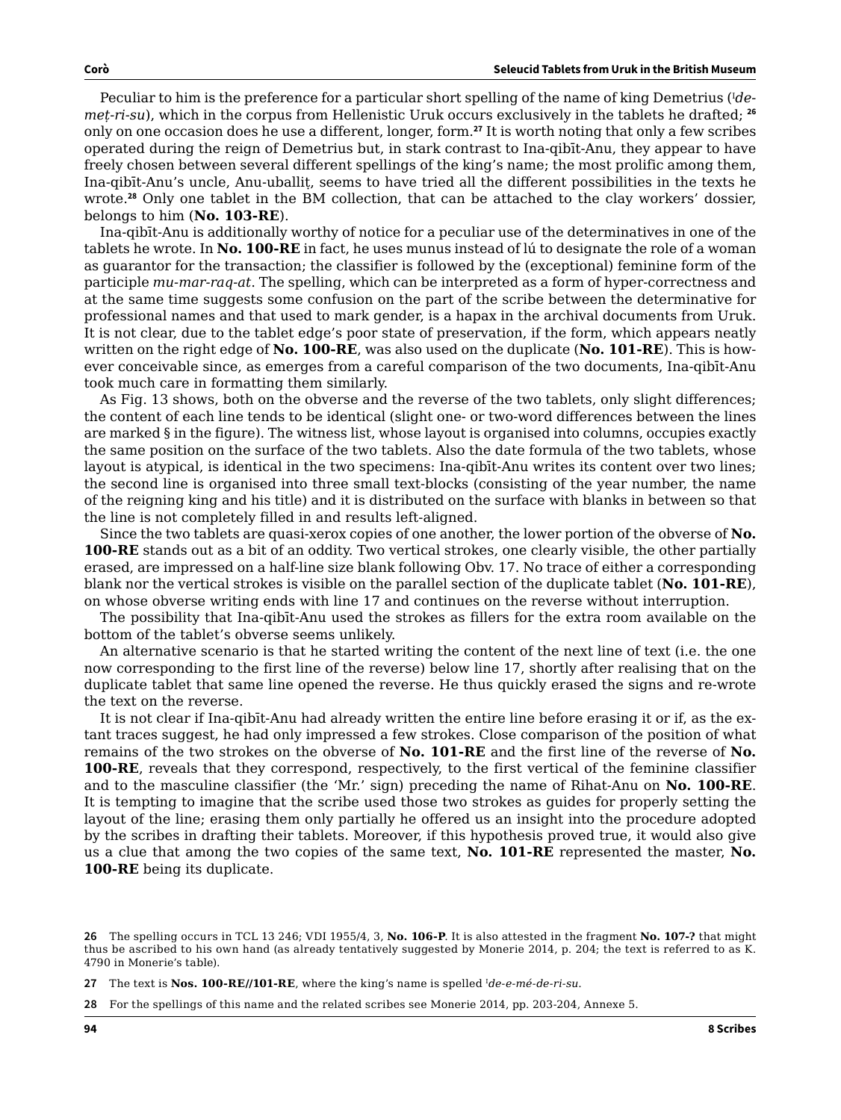Peculiar to him is the preference for a particular short spelling of the name of king Demetrius (<sup>I</sup> *demeṭ-ri-su*), which in the corpus from Hellenistic Uruk occurs exclusively in the tablets he drafted; **<sup>26</sup>** only on one occasion does he use a different, longer, form.**<sup>27</sup>** It is worth noting that only a few scribes operated during the reign of Demetrius but, in stark contrast to Ina-qibīt-Anu, they appear to have freely chosen between several different spellings of the king's name; the most prolific among them, Ina-qibīt-Anu's uncle, Anu-uballit, seems to have tried all the different possibilities in the texts he wrote.**<sup>28</sup>** Only one tablet in the BM collection, that can be attached to the clay workers' dossier, belongs to him (**No. 103-RE**).

Ina-qibīt-Anu is additionally worthy of notice for a peculiar use of the determinatives in one of the tablets he wrote. In **No. 100-RE** in fact, he uses munus instead of lú to designate the role of a woman as guarantor for the transaction; the classifier is followed by the (exceptional) feminine form of the participle *mu-mar-raq-at*. The spelling, which can be interpreted as a form of hyper-correctness and at the same time suggests some confusion on the part of the scribe between the determinative for professional names and that used to mark gender, is a hapax in the archival documents from Uruk. It is not clear, due to the tablet edge's poor state of preservation, if the form, which appears neatly written on the right edge of **No. 100-RE**, was also used on the duplicate (**No. 101-RE**). This is however conceivable since, as emerges from a careful comparison of the two documents, Ina-qibīt-Anu took much care in formatting them similarly.

As Fig. 13 shows, both on the obverse and the reverse of the two tablets, only slight differences; the content of each line tends to be identical (slight one- or two-word differences between the lines are marked § in the figure). The witness list, whose layout is organised into columns, occupies exactly the same position on the surface of the two tablets. Also the date formula of the two tablets, whose layout is atypical, is identical in the two specimens: Ina-qibīt-Anu writes its content over two lines; the second line is organised into three small text-blocks (consisting of the year number, the name of the reigning king and his title) and it is distributed on the surface with blanks in between so that the line is not completely filled in and results left-aligned.

Since the two tablets are quasi-xerox copies of one another, the lower portion of the obverse of **No. 100-RE** stands out as a bit of an oddity. Two vertical strokes, one clearly visible, the other partially erased, are impressed on a half-line size blank following Obv. 17. No trace of either a corresponding blank nor the vertical strokes is visible on the parallel section of the duplicate tablet (**No. 101-RE**), on whose obverse writing ends with line 17 and continues on the reverse without interruption.

The possibility that Ina-qibīt-Anu used the strokes as fillers for the extra room available on the bottom of the tablet's obverse seems unlikely.

An alternative scenario is that he started writing the content of the next line of text (i.e. the one now corresponding to the first line of the reverse) below line 17, shortly after realising that on the duplicate tablet that same line opened the reverse. He thus quickly erased the signs and re-wrote the text on the reverse.

It is not clear if Ina-qibīt-Anu had already written the entire line before erasing it or if, as the extant traces suggest, he had only impressed a few strokes. Close comparison of the position of what remains of the two strokes on the obverse of **No. 101-RE** and the first line of the reverse of **No. 100-RE**, reveals that they correspond, respectively, to the first vertical of the feminine classifier and to the masculine classifier (the 'Mr.' sign) preceding the name of Rihat-Anu on **No. 100-RE**. It is tempting to imagine that the scribe used those two strokes as guides for properly setting the layout of the line; erasing them only partially he offered us an insight into the procedure adopted by the scribes in drafting their tablets. Moreover, if this hypothesis proved true, it would also give us a clue that among the two copies of the same text, **No. 101-RE** represented the master, **No. 100-RE** being its duplicate.

**<sup>26</sup>** The spelling occurs in TCL 13 246; VDI 1955/4, 3, **No. 106-P**. It is also attested in the fragment **No. 107-?** that might thus be ascribed to his own hand (as already tentatively suggested by Monerie 2014, p. 204; the text is referred to as K. 4790 in Monerie's table).

**<sup>27</sup>** The text is **Nos. 100-RE//101-RE**, where the king's name is spelled <sup>I</sup> *de-e-mé-de-ri-su*.

**<sup>28</sup>** For the spellings of this name and the related scribes see Monerie 2014, pp. 203-204, Annexe 5.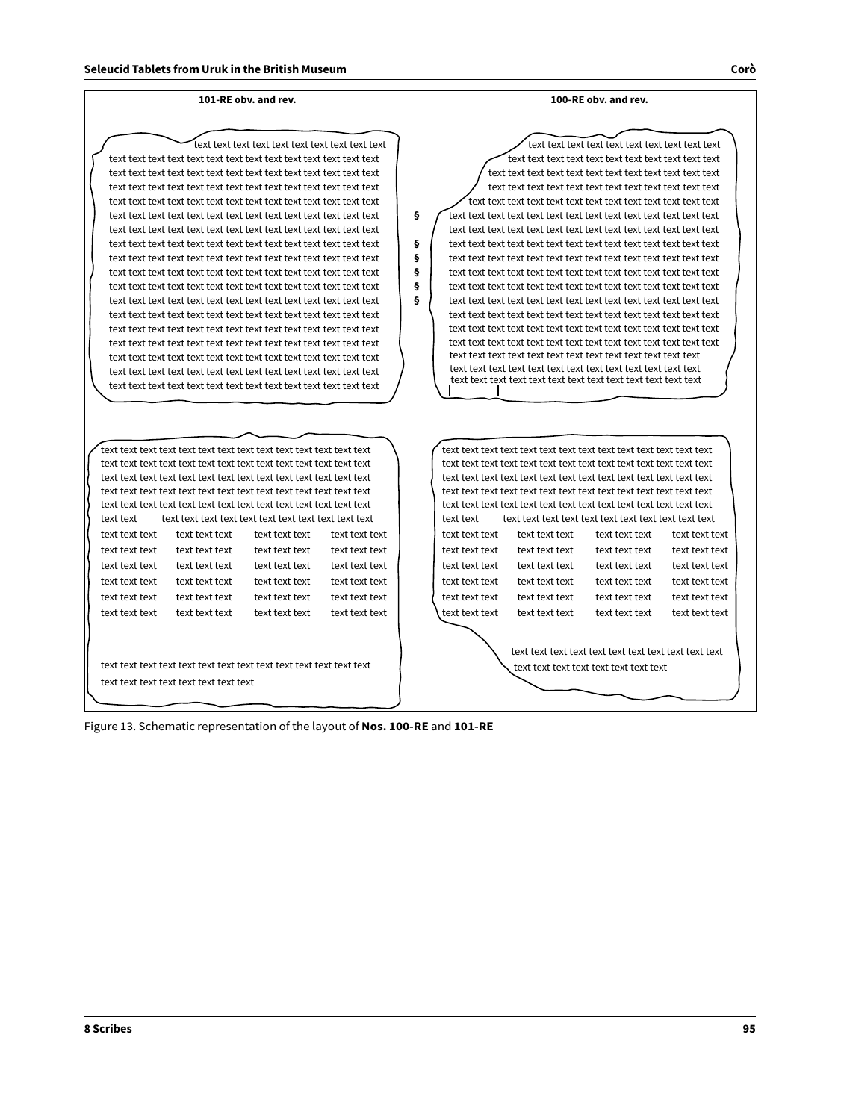#### **101-RE obv. and rev.**

#### **100-RE obv. and rev.**

text text text text text text text text text text text text text text text text text text text text text text text text text text text text text text text text text text text text text text text text text text text text text text text text text text text text text text text text text text text text text text text text text text text text text text text text text text text text text text text text text text text text text text text text text text text text text text text text text text text text text text text text text text text text text text text text text text text text text text text text text text text text text text text text text text text text text text text text text text text text text text text text text text text text text text text text text text text text text text text text text text text text text text text text text text text text text text text text text text text text text text text text text text text text text text text text text text text text text text text text text text text text text text text text text text text text text text text text text text text text text text text text text text text text text text text text text text text text text text text text text text text text text text text text

text text text text text text text text text text text text text text text text text text text text text text text text text text text text text text text text text text text text text text text text text text text text text text text text text text text text text text text text text text text text text text text text text text text text text text text text text text text text text text text text text text text text text text text text text text text text text text text

| text text text | text text text | text text text | text text text |
|----------------|----------------|----------------|----------------|
| text text text | text text text | text text text | text text text |
| text text text | text text text | text text text | text text text |
| text text text | text text text | text text text | text text text |
| text text text | text text text | text text text | text text text |
|                |                |                |                |

text text text text text text text text text text text text text text text text text text text text text text

text text text text text text text text text text text text text text text text text text text text text text text text text text text text text text text text text text text text text text text text text text text text text text text text text text text text text text text text text text text text text text text text text text text text text text text text text text text text text text text text text text text text text text text text text text text text text text text text text text text text text text text text text text text text text text text text text text text text text text text text text text text text text text text text text text text text text text text text text text text text text text text text text text text text text text text text text text text text text text text text text text text text text text text text text text text text text text text text text text text text text text text text text text text text text text text text text text text text text text text text text text text text text text text text text text text text text text text text text text text text text text text text text text text text text text text text text text text text text

**§**

**§ § § § §**

| text text      |                |                |                |  |  |
|----------------|----------------|----------------|----------------|--|--|
| text text text | text text text | text text text | text text text |  |  |
| text text text | text text text | text text text | text text text |  |  |
| text text text | text text text | text text text | text text text |  |  |
| text text text | text text text | text text text | text text text |  |  |
| text text text | text text text | text text text | text text text |  |  |
| text text text | text text text | text text text | text text text |  |  |
|                |                |                |                |  |  |
|                |                |                |                |  |  |
|                |                |                |                |  |  |
|                |                |                |                |  |  |

Figure 13. Schematic representation of the layout of **Nos. 100-RE** and **101-RE**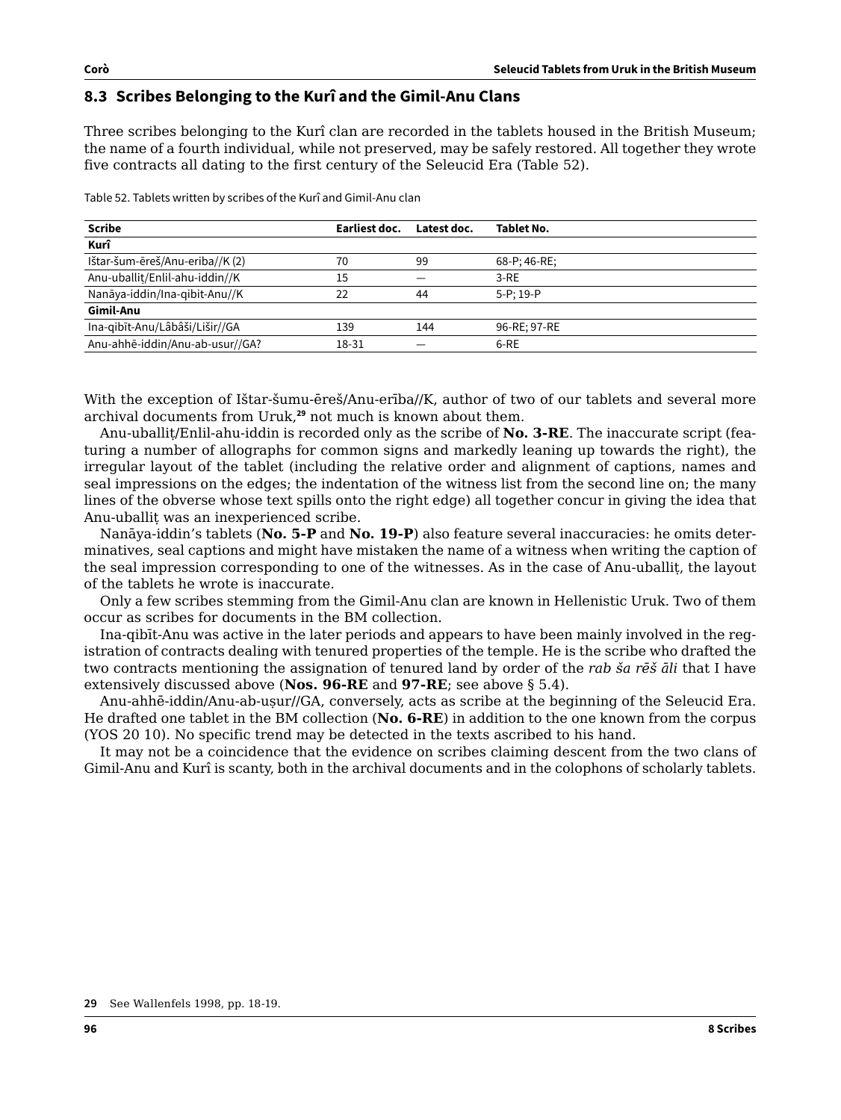## **8.3 Scribes Belonging to the Kurî and the Gimil-Anu Clans**

Three scribes belonging to the Kurî clan are recorded in the tablets housed in the British Museum; the name of a fourth individual, while not preserved, may be safely restored. All together they wrote five contracts all dating to the first century of the Seleucid Era (Table 52).

Table 52. Tablets written by scribes of the Kurî and Gimil-Anu clan

| <b>Scribe</b>                   | Earliest doc. | Latest doc. | <b>Tablet No.</b> |
|---------------------------------|---------------|-------------|-------------------|
| Kurî                            |               |             |                   |
| Ištar-šum-ēreš/Anu-eriba//K (2) | 70            | 99          | 68-P; 46-RE;      |
| Anu-uballit/Enlil-ahu-iddin//K  | 15            |             | $3-RE$            |
| Nanāya-iddin/Ina-gibit-Anu//K   | 22            | 44          | $5-P:19-P$        |
| <b>Gimil-Anu</b>                |               |             |                   |
| Ina-gibīt-Anu/Lâbâši/Lišir//GA  | 139           | 144         | 96-RE: 97-RE      |
| Anu-ahhē-iddin/Anu-ab-usur//GA? | 18-31         |             | 6-RE              |

With the exception of Ištar-šumu-ēreš/Anu-erība//K, author of two of our tablets and several more archival documents from Uruk,**<sup>29</sup>** not much is known about them.

Anu-uballiṭ/Enlil-ahu-iddin is recorded only as the scribe of **No. 3-RE**. The inaccurate script (featuring a number of allographs for common signs and markedly leaning up towards the right), the irregular layout of the tablet (including the relative order and alignment of captions, names and seal impressions on the edges; the indentation of the witness list from the second line on; the many lines of the obverse whose text spills onto the right edge) all together concur in giving the idea that Anu-uballit was an inexperienced scribe.

Nanāya-iddin's tablets (**No. 5-P** and **No. 19-P**) also feature several inaccuracies: he omits determinatives, seal captions and might have mistaken the name of a witness when writing the caption of the seal impression corresponding to one of the witnesses. As in the case of Anu-uballit, the layout of the tablets he wrote is inaccurate.

Only a few scribes stemming from the Gimil-Anu clan are known in Hellenistic Uruk. Two of them occur as scribes for documents in the BM collection.

Ina-qibīt-Anu was active in the later periods and appears to have been mainly involved in the registration of contracts dealing with tenured properties of the temple. He is the scribe who drafted the two contracts mentioning the assignation of tenured land by order of the *rab ša rēš āli* that I have extensively discussed above (**Nos. 96-RE** and **97-RE**; see above § 5.4).

Anu-ahhē-iddin/Anu-ab-usur//GA, conversely, acts as scribe at the beginning of the Seleucid Era. He drafted one tablet in the BM collection (**No. 6-RE**) in addition to the one known from the corpus (YOS 20 10). No specific trend may be detected in the texts ascribed to his hand.

It may not be a coincidence that the evidence on scribes claiming descent from the two clans of Gimil-Anu and Kurî is scanty, both in the archival documents and in the colophons of scholarly tablets.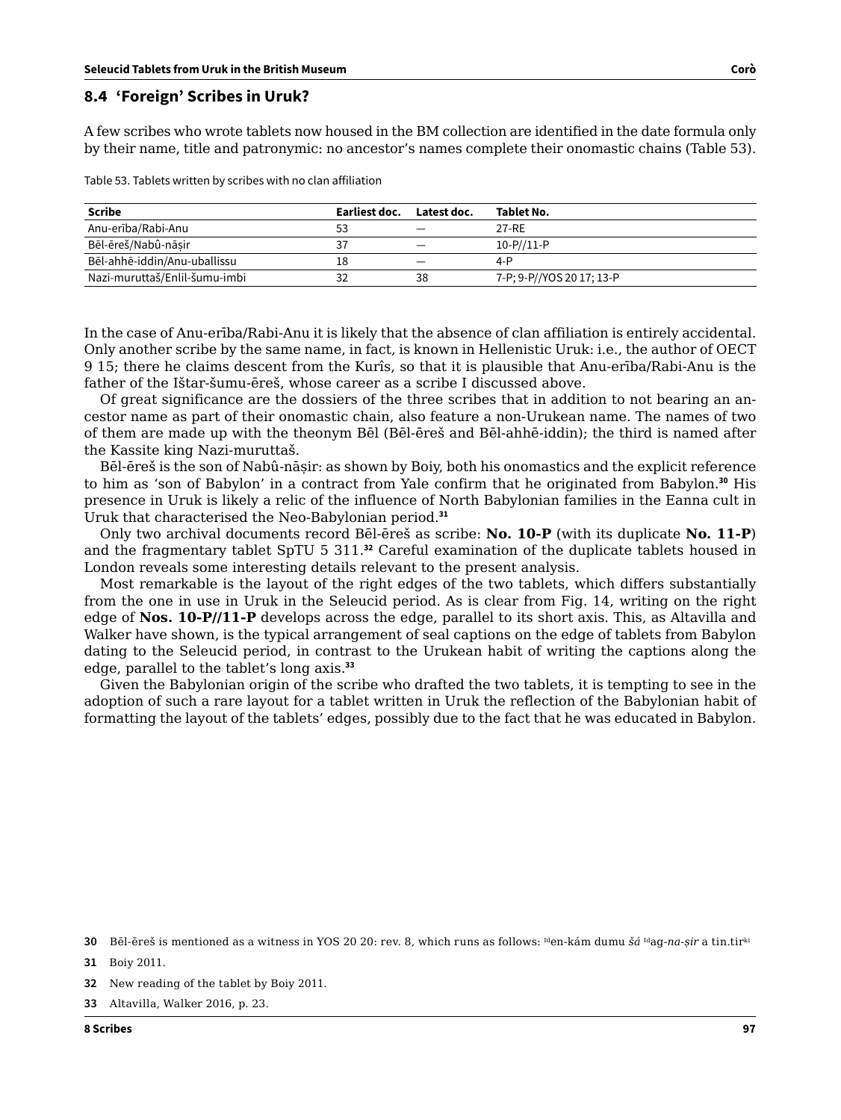#### **8.4 'Foreign' Scribes in Uruk?**

A few scribes who wrote tablets now housed in the BM collection are identified in the date formula only by their name, title and patronymic: no ancestor's names complete their onomastic chains (Table 53).

Table 53. Tablets written by scribes with no clan affiliation

| Scribe                        | Earliest doc. | Latest doc. | Tablet No.                |
|-------------------------------|---------------|-------------|---------------------------|
| Anu-erība/Rabi-Anu            | 53            |             | 27-RE                     |
| Bēl-ēreš/Nabû-nāsir           | 37            |             | $10 - P // 11 - P$        |
| Bēl-ahhē-iddin/Anu-uballissu  | 18            |             | $4-P$                     |
| Nazi-muruttaš/Enlil-šumu-imbi | 32            | 38          | 7-P; 9-P//YOS 20 17; 13-P |

In the case of Anu-erība/Rabi-Anu it is likely that the absence of clan affiliation is entirely accidental. Only another scribe by the same name, in fact, is known in Hellenistic Uruk: i.e., the author of OECT 9 15; there he claims descent from the Kurîs, so that it is plausible that Anu-erība/Rabi-Anu is the father of the Ištar-šumu-ēreš, whose career as a scribe I discussed above.

Of great significance are the dossiers of the three scribes that in addition to not bearing an ancestor name as part of their onomastic chain, also feature a non-Urukean name. The names of two of them are made up with the theonym Bēl (Bēl-ēreš and Bēl-ahhē-iddin); the third is named after the Kassite king Nazi-muruttaš.

Bēl-ēreš is the son of Nabû-nāṣir: as shown by Boiy, both his onomastics and the explicit reference to him as 'son of Babylon' in a contract from Yale confirm that he originated from Babylon.**<sup>30</sup>** His presence in Uruk is likely a relic of the influence of North Babylonian families in the Eanna cult in Uruk that characterised the Neo-Babylonian period.**<sup>31</sup>**

Only two archival documents record Bēl-ēreš as scribe: **No. 10-P** (with its duplicate **No. 11-P**) and the fragmentary tablet SpTU 5 311.**<sup>32</sup>** Careful examination of the duplicate tablets housed in London reveals some interesting details relevant to the present analysis.

Most remarkable is the layout of the right edges of the two tablets, which differs substantially from the one in use in Uruk in the Seleucid period. As is clear from Fig. 14, writing on the right edge of **Nos. 10-P//11-P** develops across the edge, parallel to its short axis. This, as Altavilla and Walker have shown, is the typical arrangement of seal captions on the edge of tablets from Babylon dating to the Seleucid period, in contrast to the Urukean habit of writing the captions along the edge, parallel to the tablet's long axis.**<sup>33</sup>**

Given the Babylonian origin of the scribe who drafted the two tablets, it is tempting to see in the adoption of such a rare layout for a tablet written in Uruk the reflection of the Babylonian habit of formatting the layout of the tablets' edges, possibly due to the fact that he was educated in Babylon.

**30** Bēl-ēreš is mentioned as a witness in YOS 20 20: rev. 8, which runs as follows: Iden-kám dumu *šá* Idag-*na-ṣir* a tin.tirki

**31** Boiy 2011.

**<sup>32</sup>** New reading of the tablet by Boiy 2011.

**<sup>33</sup>** Altavilla, Walker 2016, p. 23.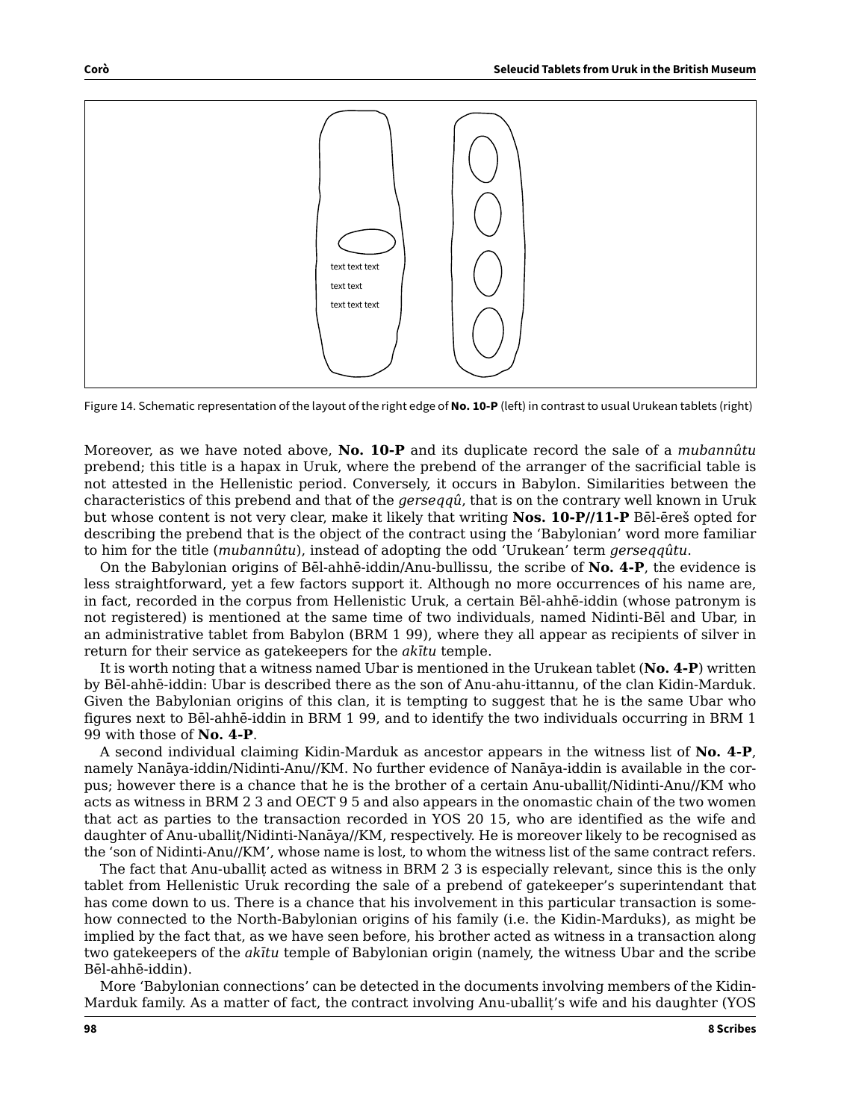

Figure 14. Schematic representation of the layout of the right edge of **No. 10-P** (left) in contrast to usual Urukean tablets (right)

Moreover, as we have noted above, **No. 10-P** and its duplicate record the sale of a *mubannûtu* prebend; this title is a hapax in Uruk, where the prebend of the arranger of the sacrificial table is not attested in the Hellenistic period. Conversely, it occurs in Babylon. Similarities between the characteristics of this prebend and that of the *gerseqqû*, that is on the contrary well known in Uruk but whose content is not very clear, make it likely that writing **Nos. 10-P//11-P** Bēl-ēreš opted for describing the prebend that is the object of the contract using the 'Babylonian' word more familiar to him for the title (*mubannûtu*), instead of adopting the odd 'Urukean' term *gerseqqûtu*.

On the Babylonian origins of Bēl-ahhē-iddin/Anu-bullissu, the scribe of **No. 4-P**, the evidence is less straightforward, yet a few factors support it. Although no more occurrences of his name are, in fact, recorded in the corpus from Hellenistic Uruk, a certain Bēl-ahhē-iddin (whose patronym is not registered) is mentioned at the same time of two individuals, named Nidinti-Bēl and Ubar, in an administrative tablet from Babylon (BRM 1 99), where they all appear as recipients of silver in return for their service as gatekeepers for the *akītu* temple.

It is worth noting that a witness named Ubar is mentioned in the Urukean tablet (**No. 4-P**) written by Bēl-ahhē-iddin: Ubar is described there as the son of Anu-ahu-ittannu, of the clan Kidin-Marduk. Given the Babylonian origins of this clan, it is tempting to suggest that he is the same Ubar who figures next to Bēl-ahhē-iddin in BRM 1 99, and to identify the two individuals occurring in BRM 1 99 with those of **No. 4-P**.

A second individual claiming Kidin-Marduk as ancestor appears in the witness list of **No. 4-P**, namely Nanāya-iddin/Nidinti-Anu//KM. No further evidence of Nanāya-iddin is available in the corpus; however there is a chance that he is the brother of a certain Anu-uballiṭ/Nidinti-Anu//KM who acts as witness in BRM 2 3 and OECT 9 5 and also appears in the onomastic chain of the two women that act as parties to the transaction recorded in YOS 20 15, who are identified as the wife and daughter of Anu-uballiṭ/Nidinti-Nanāya//KM, respectively. He is moreover likely to be recognised as the 'son of Nidinti-Anu//KM', whose name is lost, to whom the witness list of the same contract refers.

The fact that Anu-uballit acted as witness in BRM 2 3 is especially relevant, since this is the only tablet from Hellenistic Uruk recording the sale of a prebend of gatekeeper's superintendant that has come down to us. There is a chance that his involvement in this particular transaction is somehow connected to the North-Babylonian origins of his family (i.e. the Kidin-Marduks), as might be implied by the fact that, as we have seen before, his brother acted as witness in a transaction along two gatekeepers of the *akītu* temple of Babylonian origin (namely, the witness Ubar and the scribe Bēl-ahhē-iddin).

More 'Babylonian connections' can be detected in the documents involving members of the Kidin-Marduk family. As a matter of fact, the contract involving Anu-uballiṭ's wife and his daughter (YOS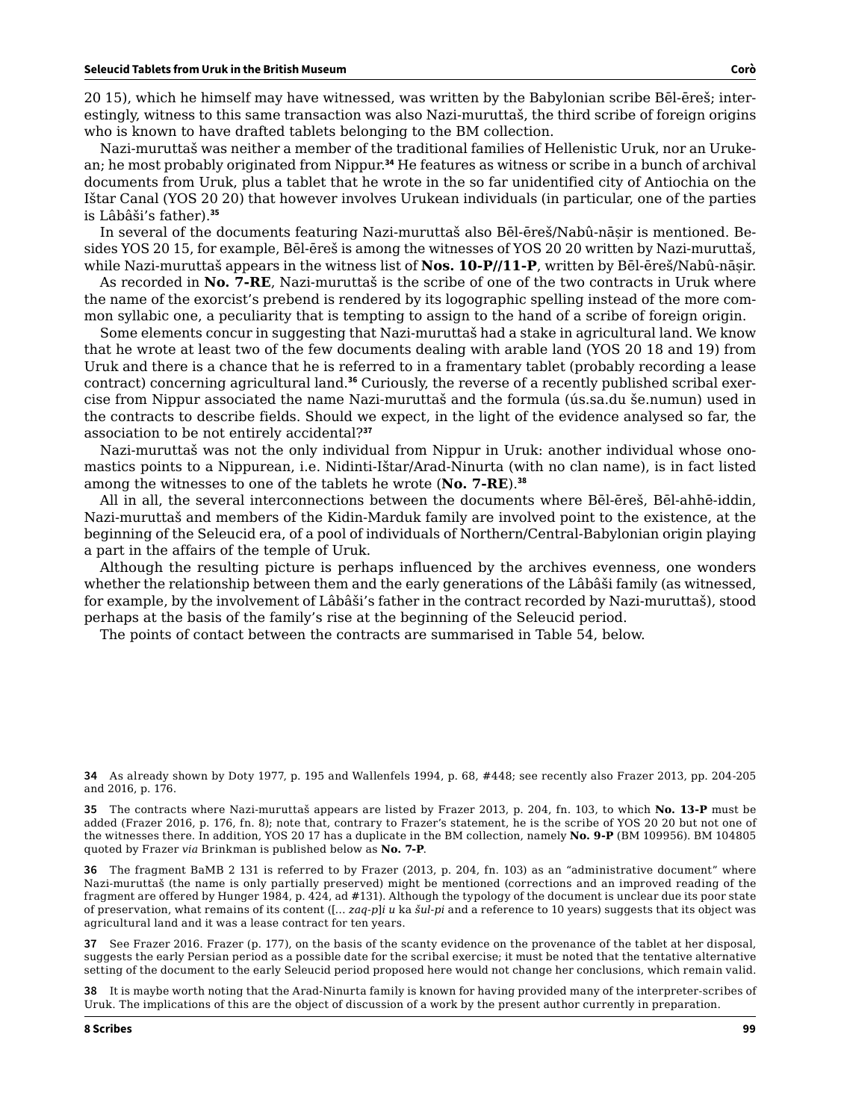20 15), which he himself may have witnessed, was written by the Babylonian scribe Bēl-ēreš; interestingly, witness to this same transaction was also Nazi-muruttaš, the third scribe of foreign origins who is known to have drafted tablets belonging to the BM collection.

Nazi-muruttaš was neither a member of the traditional families of Hellenistic Uruk, nor an Urukean; he most probably originated from Nippur.**<sup>34</sup>** He features as witness or scribe in a bunch of archival documents from Uruk, plus a tablet that he wrote in the so far unidentified city of Antiochia on the Ištar Canal (YOS 20 20) that however involves Urukean individuals (in particular, one of the parties is Lâbâši's father).**<sup>35</sup>**

In several of the documents featuring Nazi-muruttaš also Bēl-ēreš/Nabû-nāṣir is mentioned. Besides YOS 20 15, for example, Bēl-ēreš is among the witnesses of YOS 20 20 written by Nazi-muruttaš, while Nazi-muruttaš appears in the witness list of **Nos. 10-P//11-P**, written by Bēl-ēreš/Nabû-nāṣir.

As recorded in **No. 7-RE**, Nazi-muruttaš is the scribe of one of the two contracts in Uruk where the name of the exorcist's prebend is rendered by its logographic spelling instead of the more common syllabic one, a peculiarity that is tempting to assign to the hand of a scribe of foreign origin.

Some elements concur in suggesting that Nazi-muruttaš had a stake in agricultural land. We know that he wrote at least two of the few documents dealing with arable land (YOS 20 18 and 19) from Uruk and there is a chance that he is referred to in a framentary tablet (probably recording a lease contract) concerning agricultural land.**36** Curiously, the reverse of a recently published scribal exercise from Nippur associated the name Nazi-muruttaš and the formula (ús.sa.du še.numun) used in the contracts to describe fields. Should we expect, in the light of the evidence analysed so far, the association to be not entirely accidental?**<sup>37</sup>**

Nazi-muruttaš was not the only individual from Nippur in Uruk: another individual whose onomastics points to a Nippurean, i.e. Nidinti-Ištar/Arad-Ninurta (with no clan name), is in fact listed among the witnesses to one of the tablets he wrote (**No. 7-RE**).**<sup>38</sup>**

All in all, the several interconnections between the documents where Bēl-ēreš, Bēl-ahhē-iddin, Nazi-muruttaš and members of the Kidin-Marduk family are involved point to the existence, at the beginning of the Seleucid era, of a pool of individuals of Northern/Central-Babylonian origin playing a part in the affairs of the temple of Uruk.

Although the resulting picture is perhaps influenced by the archives evenness, one wonders whether the relationship between them and the early generations of the Lâbâši family (as witnessed, for example, by the involvement of Lâbâši's father in the contract recorded by Nazi-muruttaš), stood perhaps at the basis of the family's rise at the beginning of the Seleucid period.

The points of contact between the contracts are summarised in Table 54, below.

**36** The fragment BaMB 2 131 is referred to by Frazer (2013, p. 204, fn. 103) as an "administrative document" where Nazi-muruttaš (the name is only partially preserved) might be mentioned (corrections and an improved reading of the fragment are offered by Hunger 1984, p. 424, ad #131). Although the typology of the document is unclear due its poor state of preservation, what remains of its content ([… *zaq-p*]*i u* ka *šul-pi* and a reference to 10 years) suggests that its object was agricultural land and it was a lease contract for ten years.

**37** See Frazer 2016. Frazer (p. 177), on the basis of the scanty evidence on the provenance of the tablet at her disposal, suggests the early Persian period as a possible date for the scribal exercise; it must be noted that the tentative alternative setting of the document to the early Seleucid period proposed here would not change her conclusions, which remain valid.

**38** It is maybe worth noting that the Arad-Ninurta family is known for having provided many of the interpreter-scribes of Uruk. The implications of this are the object of discussion of a work by the present author currently in preparation.

**<sup>34</sup>** As already shown by Doty 1977, p. 195 and Wallenfels 1994, p. 68, #448; see recently also Frazer 2013, pp. 204-205 and 2016, p. 176.

**<sup>35</sup>** The contracts where Nazi-muruttaš appears are listed by Frazer 2013, p. 204, fn. 103, to which **No. 13-P** must be added (Frazer 2016, p. 176, fn. 8); note that, contrary to Frazer's statement, he is the scribe of YOS 20 20 but not one of the witnesses there. In addition, YOS 20 17 has a duplicate in the BM collection, namely **No. 9-P** (BM 109956). BM 104805 quoted by Frazer *via* Brinkman is published below as **No. 7-P**.